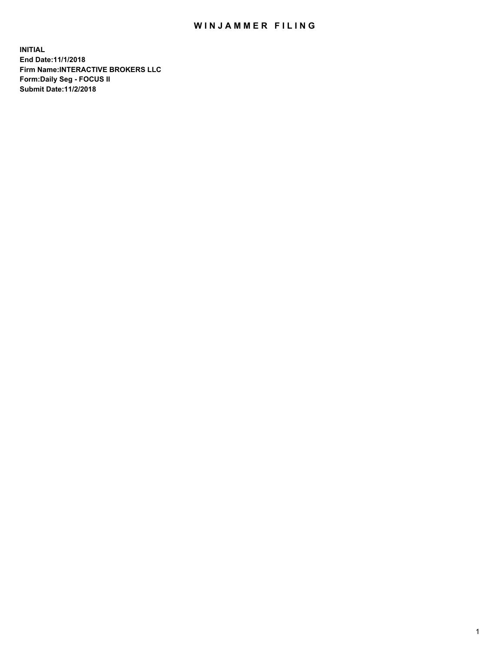## WIN JAMMER FILING

**INITIAL End Date:11/1/2018 Firm Name:INTERACTIVE BROKERS LLC Form:Daily Seg - FOCUS II Submit Date:11/2/2018**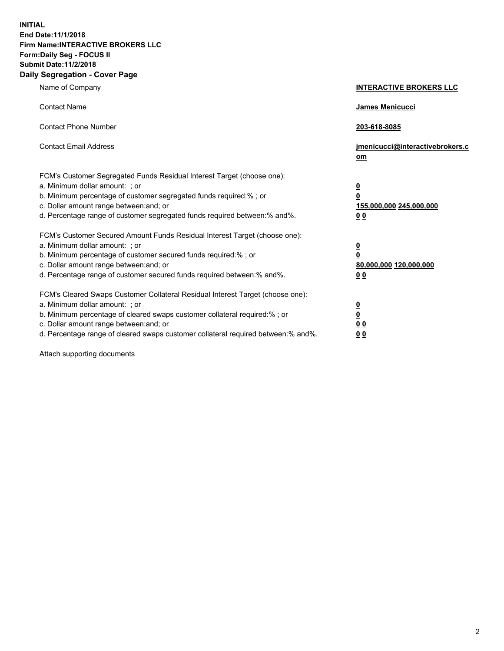**INITIAL End Date:11/1/2018 Firm Name:INTERACTIVE BROKERS LLC Form:Daily Seg - FOCUS II Submit Date:11/2/2018 Daily Segregation - Cover Page**

| Name of Company                                                                                                                                                                                                                                                                                                                | <b>INTERACTIVE BROKERS LLC</b>                                                                  |
|--------------------------------------------------------------------------------------------------------------------------------------------------------------------------------------------------------------------------------------------------------------------------------------------------------------------------------|-------------------------------------------------------------------------------------------------|
| <b>Contact Name</b>                                                                                                                                                                                                                                                                                                            | <b>James Menicucci</b>                                                                          |
| <b>Contact Phone Number</b>                                                                                                                                                                                                                                                                                                    | 203-618-8085                                                                                    |
| <b>Contact Email Address</b>                                                                                                                                                                                                                                                                                                   | jmenicucci@interactivebrokers.c<br>om                                                           |
| FCM's Customer Segregated Funds Residual Interest Target (choose one):<br>a. Minimum dollar amount: ; or<br>b. Minimum percentage of customer segregated funds required:% ; or<br>c. Dollar amount range between: and; or<br>d. Percentage range of customer segregated funds required between:% and%.                         | $\overline{\mathbf{0}}$<br>$\overline{\mathbf{0}}$<br>155,000,000 245,000,000<br>0 <sub>0</sub> |
| FCM's Customer Secured Amount Funds Residual Interest Target (choose one):<br>a. Minimum dollar amount: ; or<br>b. Minimum percentage of customer secured funds required:% ; or<br>c. Dollar amount range between: and; or<br>d. Percentage range of customer secured funds required between:% and%.                           | $\overline{\mathbf{0}}$<br>$\pmb{0}$<br>80,000,000 120,000,000<br>00                            |
| FCM's Cleared Swaps Customer Collateral Residual Interest Target (choose one):<br>a. Minimum dollar amount: ; or<br>b. Minimum percentage of cleared swaps customer collateral required:% ; or<br>c. Dollar amount range between: and; or<br>d. Percentage range of cleared swaps customer collateral required between:% and%. | $\overline{\mathbf{0}}$<br>$\underline{\mathbf{0}}$<br>0 <sub>0</sub><br>00                     |

Attach supporting documents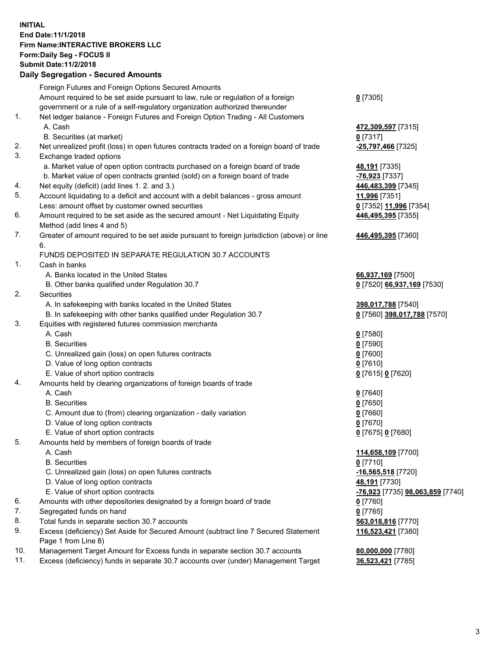## **INITIAL End Date:11/1/2018 Firm Name:INTERACTIVE BROKERS LLC Form:Daily Seg - FOCUS II Submit Date:11/2/2018 Daily Segregation - Secured Amounts**

|                | Daily Ocglegation - Occuled Aniounts                                                              |                                                      |
|----------------|---------------------------------------------------------------------------------------------------|------------------------------------------------------|
|                | Foreign Futures and Foreign Options Secured Amounts                                               |                                                      |
|                | Amount required to be set aside pursuant to law, rule or regulation of a foreign                  | $0$ [7305]                                           |
|                | government or a rule of a self-regulatory organization authorized thereunder                      |                                                      |
| $\mathbf{1}$ . | Net ledger balance - Foreign Futures and Foreign Option Trading - All Customers                   |                                                      |
|                | A. Cash                                                                                           | 472,309,597 [7315]                                   |
|                | B. Securities (at market)                                                                         | $0$ [7317]                                           |
| 2.             | Net unrealized profit (loss) in open futures contracts traded on a foreign board of trade         | -25,797,466 [7325]                                   |
| 3.             | Exchange traded options                                                                           |                                                      |
|                | a. Market value of open option contracts purchased on a foreign board of trade                    | 48,191 [7335]                                        |
|                | b. Market value of open contracts granted (sold) on a foreign board of trade                      | -76,923 [7337]                                       |
| 4.             | Net equity (deficit) (add lines 1.2. and 3.)                                                      | 446,483,399 [7345]                                   |
| 5.             | Account liquidating to a deficit and account with a debit balances - gross amount                 | 11,996 [7351]                                        |
|                | Less: amount offset by customer owned securities                                                  | 0 [7352] 11,996 [7354]                               |
| 6.             | Amount required to be set aside as the secured amount - Net Liquidating Equity                    | 446,495,395 [7355]                                   |
|                | Method (add lines 4 and 5)                                                                        |                                                      |
| 7.             | Greater of amount required to be set aside pursuant to foreign jurisdiction (above) or line<br>6. | 446,495,395 [7360]                                   |
|                | FUNDS DEPOSITED IN SEPARATE REGULATION 30.7 ACCOUNTS                                              |                                                      |
| 1.             | Cash in banks                                                                                     |                                                      |
|                | A. Banks located in the United States                                                             | 66,937,169 [7500]                                    |
|                | B. Other banks qualified under Regulation 30.7                                                    | 0 [7520] 66,937,169 [7530]                           |
| 2.             | Securities                                                                                        |                                                      |
|                | A. In safekeeping with banks located in the United States                                         | 398,017,788 [7540]                                   |
|                | B. In safekeeping with other banks qualified under Regulation 30.7                                | 0 [7560] 398,017,788 [7570]                          |
| 3.             | Equities with registered futures commission merchants                                             |                                                      |
|                | A. Cash                                                                                           | $0$ [7580]                                           |
|                | <b>B.</b> Securities                                                                              | $0$ [7590]                                           |
|                | C. Unrealized gain (loss) on open futures contracts                                               | $0$ [7600]                                           |
|                | D. Value of long option contracts                                                                 | $0$ [7610]                                           |
|                | E. Value of short option contracts                                                                | 0 [7615] 0 [7620]                                    |
| 4.             | Amounts held by clearing organizations of foreign boards of trade                                 |                                                      |
|                | A. Cash                                                                                           | $0$ [7640]                                           |
|                | <b>B.</b> Securities                                                                              | $0$ [7650]                                           |
|                | C. Amount due to (from) clearing organization - daily variation                                   | $0$ [7660]                                           |
|                | D. Value of long option contracts                                                                 | $0$ [7670]                                           |
|                | E. Value of short option contracts                                                                | 0 [7675] 0 [7680]                                    |
| 5.             | Amounts held by members of foreign boards of trade                                                |                                                      |
|                | A. Cash                                                                                           | 114,658,109 [7700]                                   |
|                | <b>B.</b> Securities                                                                              | $0$ [7710]                                           |
|                | C. Unrealized gain (loss) on open futures contracts                                               | $-16,565,518$ [7720]                                 |
|                | D. Value of long option contracts                                                                 | 48,191 [7730]                                        |
|                | E. Value of short option contracts                                                                | <mark>-76,923</mark> [7735] <b>98,063,859</b> [7740] |
| 6.             | Amounts with other depositories designated by a foreign board of trade                            | 0 [7760]                                             |
| 7.             | Segregated funds on hand                                                                          | $0$ [7765]                                           |
| 8.             | Total funds in separate section 30.7 accounts                                                     | 563,018,816 [7770]                                   |
| 9.             | Excess (deficiency) Set Aside for Secured Amount (subtract line 7 Secured Statement               | 116,523,421 [7380]                                   |
|                | Page 1 from Line 8)                                                                               |                                                      |
| 10.            | Management Target Amount for Excess funds in separate section 30.7 accounts                       | 80,000,000 [7780]                                    |
| 11.            | Excess (deficiency) funds in separate 30.7 accounts over (under) Management Target                | 36,523,421 [7785]                                    |
|                |                                                                                                   |                                                      |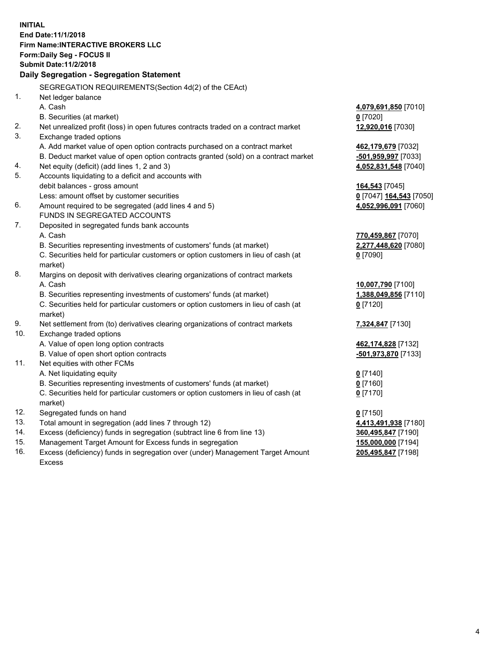**INITIAL End Date:11/1/2018 Firm Name:INTERACTIVE BROKERS LLC Form:Daily Seg - FOCUS II Submit Date:11/2/2018 Daily Segregation - Segregation Statement** SEGREGATION REQUIREMENTS(Section 4d(2) of the CEAct) 1. Net ledger balance A. Cash **4,079,691,850** [7010] B. Securities (at market) **0** [7020] 2. Net unrealized profit (loss) in open futures contracts traded on a contract market **12,920,016** [7030] 3. Exchange traded options A. Add market value of open option contracts purchased on a contract market **462,179,679** [7032] B. Deduct market value of open option contracts granted (sold) on a contract market **-501,959,997** [7033] 4. Net equity (deficit) (add lines 1, 2 and 3) **4,052,831,548** [7040] 5. Accounts liquidating to a deficit and accounts with debit balances - gross amount **164,543** [7045] Less: amount offset by customer securities **0** [7047] **164,543** [7050] 6. Amount required to be segregated (add lines 4 and 5) **4,052,996,091** [7060] FUNDS IN SEGREGATED ACCOUNTS 7. Deposited in segregated funds bank accounts A. Cash **770,459,867** [7070] B. Securities representing investments of customers' funds (at market) **2,277,448,620** [7080] C. Securities held for particular customers or option customers in lieu of cash (at market) **0** [7090] 8. Margins on deposit with derivatives clearing organizations of contract markets A. Cash **10,007,790** [7100] B. Securities representing investments of customers' funds (at market) **1,388,049,856** [7110] C. Securities held for particular customers or option customers in lieu of cash (at market) **0** [7120] 9. Net settlement from (to) derivatives clearing organizations of contract markets **7,324,847** [7130] 10. Exchange traded options A. Value of open long option contracts **462,174,828** [7132] B. Value of open short option contracts **-501,973,870** [7133] 11. Net equities with other FCMs A. Net liquidating equity **0** [7140] B. Securities representing investments of customers' funds (at market) **0** [7160] C. Securities held for particular customers or option customers in lieu of cash (at market) **0** [7170] 12. Segregated funds on hand **0** [7150] 13. Total amount in segregation (add lines 7 through 12) **4,413,491,938** [7180] 14. Excess (deficiency) funds in segregation (subtract line 6 from line 13) **360,495,847** [7190] 15. Management Target Amount for Excess funds in segregation **155,000,000** [7194]

16. Excess (deficiency) funds in segregation over (under) Management Target Amount Excess

**205,495,847** [7198]